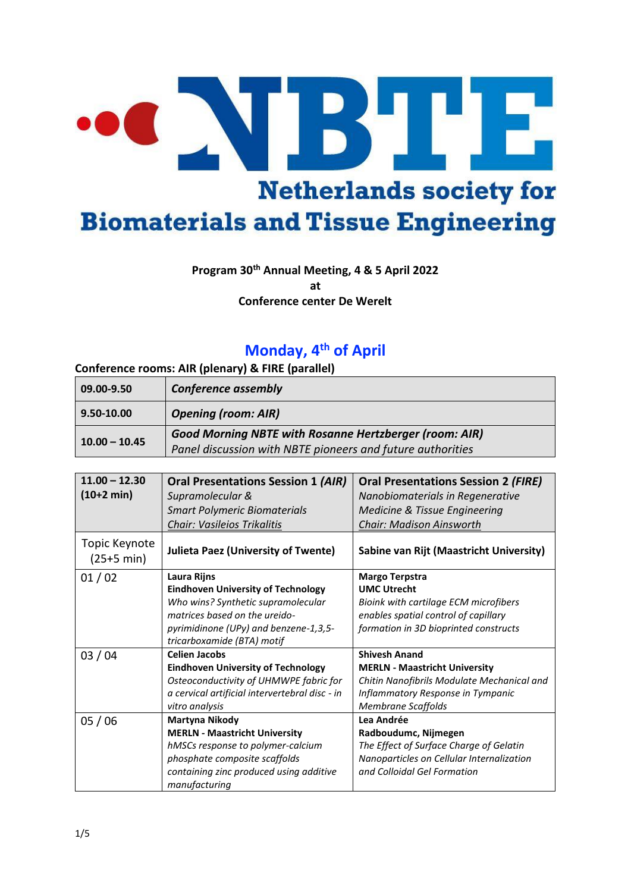# R Ш **Netherlands society for Biomaterials and Tissue Engineering**

### **Program 30th Annual Meeting, 4 & 5 April 2022**

**at** 

**Conference center De Werelt**

## **Monday, 4th of April**

#### **Conference rooms: AIR (plenary) & FIRE (parallel)**

| $ 09.00 - 9.50 $ | <b>Conference assembly</b>                                    |
|------------------|---------------------------------------------------------------|
| 9.50-10.00       | <b>Opening (room: AIR)</b>                                    |
| $10.00 - 10.45$  | <b>Good Morning NBTE with Rosanne Hertzberger (room: AIR)</b> |
|                  | Panel discussion with NBTE pioneers and future authorities    |

| $11.00 - 12.30$<br>$(10+2 min)$       | <b>Oral Presentations Session 1 (AIR)</b><br>Supramolecular &<br><b>Smart Polymeric Biomaterials</b><br>Chair: Vasileios Trikalitis                                                                    | <b>Oral Presentations Session 2 (FIRE)</b><br>Nanobiomaterials in Regenerative<br>Medicine & Tissue Engineering<br><b>Chair: Madison Ainsworth</b>                           |
|---------------------------------------|--------------------------------------------------------------------------------------------------------------------------------------------------------------------------------------------------------|------------------------------------------------------------------------------------------------------------------------------------------------------------------------------|
| Topic Keynote<br>$(25+5 \text{ min})$ | <b>Julieta Paez (University of Twente)</b>                                                                                                                                                             | Sabine van Rijt (Maastricht University)                                                                                                                                      |
| 01/02                                 | Laura Rijns<br><b>Eindhoven University of Technology</b><br>Who wins? Synthetic supramolecular<br>matrices based on the ureido-<br>pyrimidinone (UPy) and benzene-1,3,5-<br>tricarboxamide (BTA) motif | Margo Terpstra<br><b>UMC Utrecht</b><br>Bioink with cartilage ECM microfibers<br>enables spatial control of capillary<br>formation in 3D bioprinted constructs               |
| 03/04                                 | <b>Celien Jacobs</b><br><b>Eindhoven University of Technology</b><br>Osteoconductivity of UHMWPE fabric for<br>a cervical artificial intervertebral disc - in<br>vitro analysis                        | <b>Shivesh Anand</b><br><b>MERLN - Maastricht University</b><br>Chitin Nanofibrils Modulate Mechanical and<br>Inflammatory Response in Tympanic<br><b>Membrane Scaffolds</b> |
| 05/06                                 | Martyna Nikody<br><b>MERLN - Maastricht University</b><br>hMSCs response to polymer-calcium<br>phosphate composite scaffolds<br>containing zinc produced using additive<br>manufacturing               | Lea Andrée<br>Radboudumc, Nijmegen<br>The Effect of Surface Charge of Gelatin<br>Nanoparticles on Cellular Internalization<br>and Colloidal Gel Formation                    |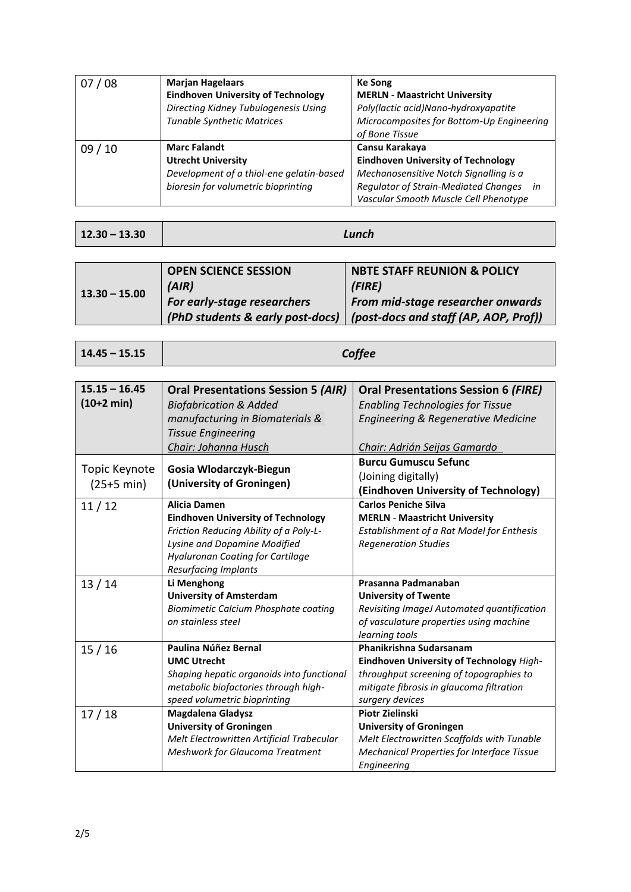| 07/08   | <b>Marjan Hagelaars</b><br><b>Eindhoven University of Technology</b><br>Directing Kidney Tubulogenesis Using<br><b>Tunable Synthetic Matrices</b> | <b>Ke Song</b><br><b>MERLN - Maastricht University</b><br>Poly(lactic acid)Nano-hydroxyapatite<br>Microcomposites for Bottom-Up Engineering<br>of Bone Tissue                                |
|---------|---------------------------------------------------------------------------------------------------------------------------------------------------|----------------------------------------------------------------------------------------------------------------------------------------------------------------------------------------------|
| 09 / 10 | <b>Marc Falandt</b><br><b>Utrecht University</b><br>Development of a thiol-ene gelatin-based<br>bioresin for volumetric bioprinting               | Cansu Karakaya<br><b>Eindhoven University of Technology</b><br>Mechanosensitive Notch Signalling is a<br>Regulator of Strain-Mediated Changes<br>in<br>Vascular Smooth Muscle Cell Phenotype |

|  | $12.30 - 13.30$ |  |
|--|-----------------|--|
|  |                 |  |

**12.30 – 13.30** *Lunch*

| $13.30 - 15.00$ | <b>OPEN SCIENCE SESSION</b>      | <b>NBTE STAFF REUNION &amp; POLICY</b> |
|-----------------|----------------------------------|----------------------------------------|
|                 | (AIR)                            | (FIRE)                                 |
|                 | For early-stage researchers      | From mid-stage researcher onwards      |
|                 | (PhD students & early post-docs) | (post-docs and staff (AP, AOP, Prof))  |

| $14.45 - 15.15$ | Coffee |
|-----------------|--------|
|-----------------|--------|

| $15.15 - 16.45$<br>$(10+2 min)$       | <b>Oral Presentations Session 5 (AIR)</b><br><b>Biofabrication &amp; Added</b><br>manufacturing in Biomaterials &<br><b>Tissue Engineering</b><br>Chair: Johanna Husch                                        | <b>Oral Presentations Session 6 (FIRE)</b><br><b>Enabling Technologies for Tissue</b><br>Engineering & Regenerative Medicine<br>Chair: Adrián Seijas Gamardo                  |
|---------------------------------------|---------------------------------------------------------------------------------------------------------------------------------------------------------------------------------------------------------------|-------------------------------------------------------------------------------------------------------------------------------------------------------------------------------|
| Topic Keynote<br>$(25+5 \text{ min})$ | Gosia Wlodarczyk-Biegun<br>(University of Groningen)                                                                                                                                                          | <b>Burcu Gumuscu Sefunc</b><br>(Joining digitally)<br>(Eindhoven University of Technology)                                                                                    |
| 11/12                                 | <b>Alicia Damen</b><br><b>Eindhoven University of Technology</b><br>Friction Reducing Ability of a Poly-L-<br>Lysine and Dopamine Modified<br><b>Hyaluronan Coating for Cartilage</b><br>Resurfacing Implants | <b>Carlos Peniche Silva</b><br><b>MERLN - Maastricht University</b><br>Establishment of a Rat Model for Enthesis<br><b>Regeneration Studies</b>                               |
| 13/14                                 | Li Menghong<br><b>University of Amsterdam</b><br>Biomimetic Calcium Phosphate coating<br>on stainless steel                                                                                                   | Prasanna Padmanaban<br><b>University of Twente</b><br>Revisiting ImageJ Automated quantification<br>of vasculature properties using machine<br>learning tools                 |
| 15/16                                 | Paulina Núñez Bernal<br><b>UMC Utrecht</b><br>Shaping hepatic organoids into functional<br>metabolic biofactories through high-<br>speed volumetric bioprinting                                               | Phanikrishna Sudarsanam<br>Eindhoven University of Technology High-<br>throughput screening of topographies to<br>mitigate fibrosis in glaucoma filtration<br>surgery devices |
| 17/18                                 | <b>Magdalena Gladysz</b><br><b>University of Groningen</b><br>Melt Electrowritten Artificial Trabecular<br>Meshwork for Glaucoma Treatment                                                                    | <b>Piotr Zielinski</b><br><b>University of Groningen</b><br>Melt Electrowritten Scaffolds with Tunable<br><b>Mechanical Properties for Interface Tissue</b><br>Engineering    |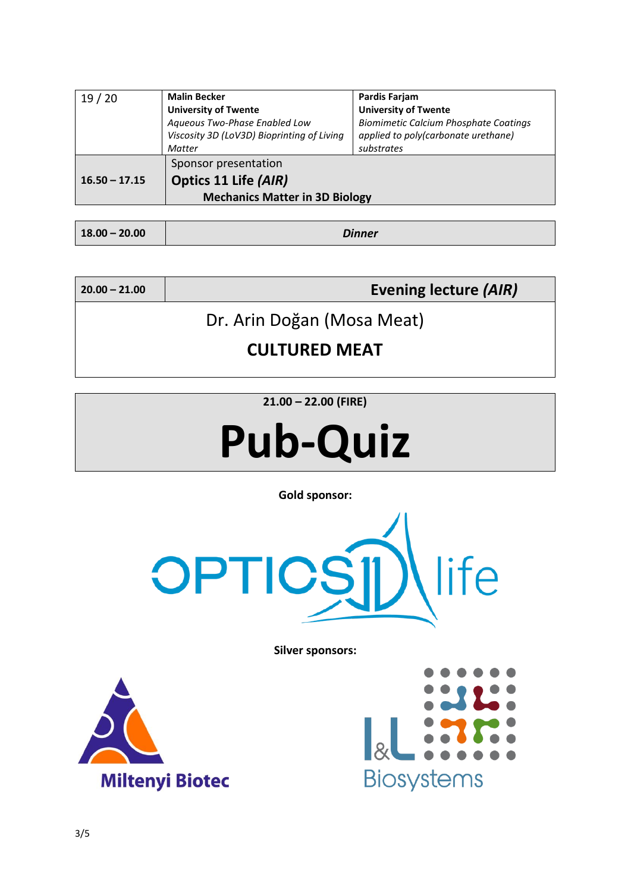| 19/20           | <b>Malin Becker</b>                        | Pardis Farjam                                |
|-----------------|--------------------------------------------|----------------------------------------------|
|                 | <b>University of Twente</b>                | <b>University of Twente</b>                  |
|                 | Aqueous Two-Phase Enabled Low              | <b>Biomimetic Calcium Phosphate Coatings</b> |
|                 | Viscosity 3D (LoV3D) Bioprinting of Living | applied to poly(carbonate urethane)          |
|                 | Matter                                     | substrates                                   |
|                 | Sponsor presentation                       |                                              |
| $16.50 - 17.15$ | Optics 11 Life (AIR)                       |                                              |
|                 | <b>Mechanics Matter in 3D Biology</b>      |                                              |

| $18.00 - 20.00$ | <b>Dinner</b> |
|-----------------|---------------|
|                 |               |

**20.00 – 21.00 Evening lecture** *(AIR)*

Dr. Arin Doğan (Mosa Meat)

**CULTURED MEAT**

**21.00 – 22.00 (FIRE)**

# **Pub-Quiz**

**Gold sponsor:**



**Silver sponsors:**



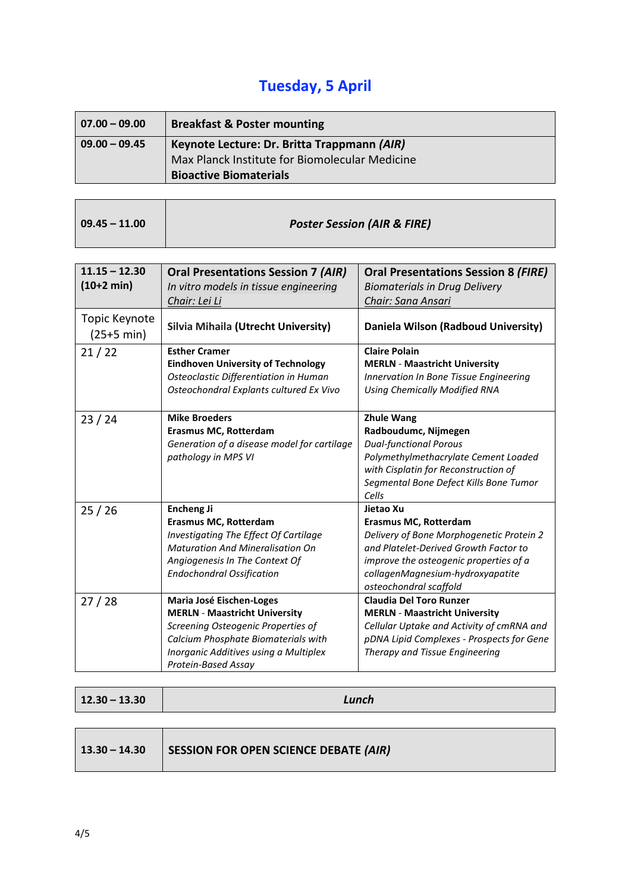# **Tuesday, 5 April**

| $07.00 - 09.00$   | <b>Breakfast &amp; Poster mounting</b>         |  |
|-------------------|------------------------------------------------|--|
| $ 09.00 - 09.45 $ | Keynote Lecture: Dr. Britta Trappmann (AIR)    |  |
|                   | Max Planck Institute for Biomolecular Medicine |  |
|                   | <b>Bioactive Biomaterials</b>                  |  |

| $09.45 - 11.00$ | <b>Poster Session (AIR &amp; FIRE)</b> |
|-----------------|----------------------------------------|
|                 |                                        |

ı.

| $11.15 - 12.30$<br>$(10+2 min)$       | <b>Oral Presentations Session 7 (AIR)</b><br>In vitro models in tissue engineering<br>Chair: Lei Li                                                                                                           | <b>Oral Presentations Session 8 (FIRE)</b><br><b>Biomaterials in Drug Delivery</b><br>Chair: Sana Ansari                                                                                                                        |
|---------------------------------------|---------------------------------------------------------------------------------------------------------------------------------------------------------------------------------------------------------------|---------------------------------------------------------------------------------------------------------------------------------------------------------------------------------------------------------------------------------|
| Topic Keynote<br>$(25+5 \text{ min})$ | <b>Silvia Mihaila (Utrecht University)</b>                                                                                                                                                                    | Daniela Wilson (Radboud University)                                                                                                                                                                                             |
| 21/22                                 | <b>Esther Cramer</b><br><b>Eindhoven University of Technology</b><br>Osteoclastic Differentiation in Human<br>Osteochondral Explants cultured Ex Vivo                                                         | <b>Claire Polain</b><br><b>MERLN - Maastricht University</b><br>Innervation In Bone Tissue Engineering<br><b>Using Chemically Modified RNA</b>                                                                                  |
| 23/24                                 | <b>Mike Broeders</b><br><b>Erasmus MC, Rotterdam</b><br>Generation of a disease model for cartilage<br>pathology in MPS VI                                                                                    | <b>Zhule Wang</b><br>Radboudumc, Nijmegen<br><b>Dual-functional Porous</b><br>Polymethylmethacrylate Cement Loaded<br>with Cisplatin for Reconstruction of<br>Segmental Bone Defect Kills Bone Tumor<br>Cells                   |
| 25/26                                 | <b>Encheng Ji</b><br>Erasmus MC, Rotterdam<br>Investigating The Effect Of Cartilage<br><b>Maturation And Mineralisation On</b><br>Angiogenesis In The Context Of<br><b>Endochondral Ossification</b>          | Jietao Xu<br>Erasmus MC, Rotterdam<br>Delivery of Bone Morphogenetic Protein 2<br>and Platelet-Derived Growth Factor to<br>improve the osteogenic properties of a<br>collagenMagnesium-hydroxyapatite<br>osteochondral scaffold |
| 27/28                                 | Maria José Eischen-Loges<br><b>MERLN - Maastricht University</b><br>Screening Osteogenic Properties of<br>Calcium Phosphate Biomaterials with<br>Inorganic Additives using a Multiplex<br>Protein-Based Assay | <b>Claudia Del Toro Runzer</b><br><b>MERLN - Maastricht University</b><br>Cellular Uptake and Activity of cmRNA and<br>pDNA Lipid Complexes - Prospects for Gene<br>Therapy and Tissue Engineering                              |

| $12.30 - 13.30$ | Lunch                                        |
|-----------------|----------------------------------------------|
|                 |                                              |
| $13.30 - 14.30$ | <b>SESSION FOR OPEN SCIENCE DEBATE (AIR)</b> |

 $\blacksquare$ 

 $\overline{\phantom{a}}$